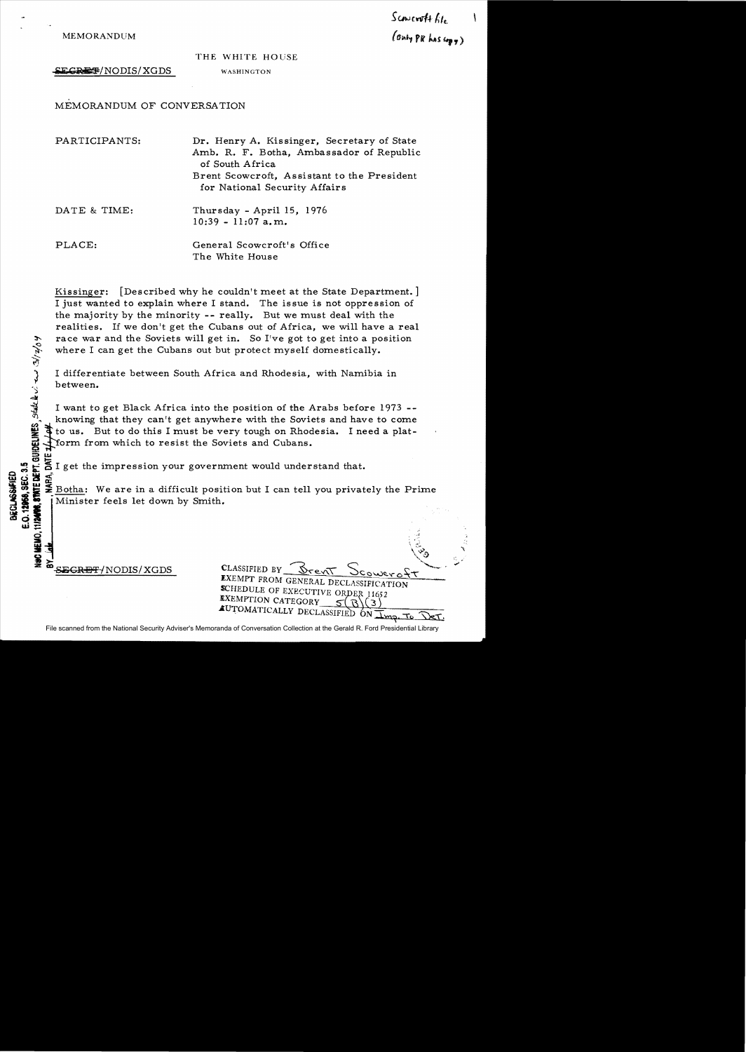*s*c.w(wt4 hh. MEMORANDUM  $(\sigma_{\text{nhy}})$  **FR**  $\lambda$ s.  $(\sigma_{\text{phy}})$ 

## THE WHITE HOUSE

EGRET/NODIS/XGDS WASHINGTON

MEMORANDUM OF CONVERSATION

| PARTICIPANTS: | Dr. Henry A. Kissinger, Secretary of State<br>Amb. R. F. Botha, Ambassador of Republic<br>of South Africa<br>Brent Scowcroft, Assistant to the President<br>for National Security Affairs |
|---------------|-------------------------------------------------------------------------------------------------------------------------------------------------------------------------------------------|
| DATE & TIME:  | Thursday - April $15, 1976$<br>$10:39 - 11:07$ a.m.                                                                                                                                       |
| PLACE:        | General Scowcroft's Office<br>The White House                                                                                                                                             |

Kissinger: [Described why he couldn't meet at the State Department. ] I just wanted to explain where I stand. The issue is not oppression of the majority by the minority **--** really. But we must deal with the realities. If we don't get the Cubans out of Africa, we will have a real race war and the Soviets will get in. So I've got to get into a position where I can get the Cubans out but protect myself domestically.

I differentiate between South Africa and Rhodesia, with Namibia in between.

I want to get Black Africa into the position of the Arabs before 1973 -knowing that they can't get anywhere with the Soviets and have to come to us. But to do this I must be very tough on Rhodesia. I need a plat-Yorm from which to resist the Soviets and Cubans.

 $\frac{\mu}{\sigma}$  I get the impression your government would understand that.

i i ~\_ Botha: We are in a difficult position but I can tell you privately the Prime Minister feels let down by Smith.

 ${\tt SEGREF/NODIS/XGDS}$ 

 $\tilde{\mathbf{r}}$ 

**三: 2** 

**WOc:la:;** <sup>Q</sup>'&WC:C"

**w:::**  g

E.O. 12958, SEC. 3.5

| 딸 ᅯ                    |                                                                                                                        |
|------------------------|------------------------------------------------------------------------------------------------------------------------|
| ¥<br>SEGRET/NODIS/XGDS | CLASSIFIED BY<br>Drent<br>Scowero+<br><b>EXEMPT FROM GENERAL DECLASSIFICATION</b><br>SCHEDULE OF EXECUTIVE ORDER 11652 |
|                        | EXEMPTION CATEGORY<br>AUTOMATICALLY DECLASSIFIED                                                                       |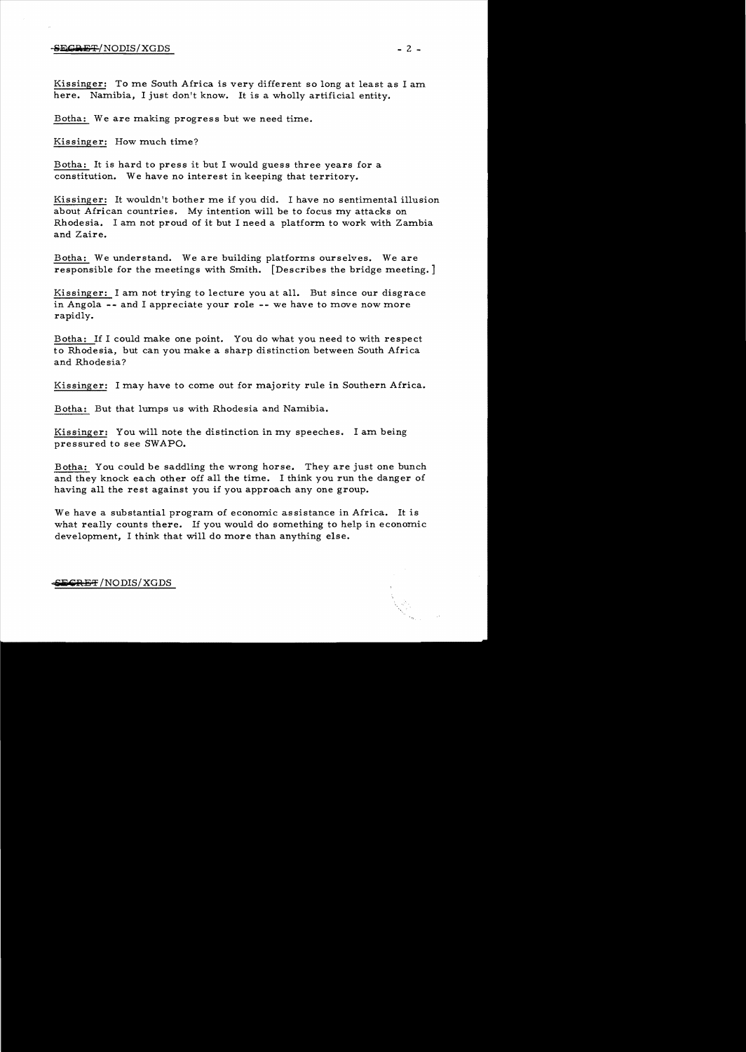## $-$ <del>SECRET</del>/NODIS/XGDS  $-$  2  $-$

Kissinger: To me South Africa is very different so long at least as I am here. Namibia, I just don't know. It is a wholly artificial entity.

Botha: We are making progress but we need time.

Kissinger: How much time?

Botha: It is hard to press it but I would guess three years for a constitution. We have no interest in keeping that territory.

Kissinger: It wouldn't bother me if you did. I have no sentimental illusion about African countries. My intention will be to focus my attacks on Rhodesia. I am not proud of it but I need a platform to work with Zambia and Zaire.

Botha: We understand. We are building platforms ourselves. We are responsible for the meetings with Smith. [Describes the bridge meeting. ]

Kissinger: I am not trying to lecture you at all. But since our disgrace in Angola -- and I appreciate your role -- we have to move now more rapidly.

Botha: If I could make one point. You do what you need to with respect to Rhodesia, but can you make a sharp distinction between South Africa and Rhodesia?

Kissinger: I may have to come out for majority rule in Southern Africa.

Botha: But that lumps us with Rhodesia and Namibia.

Kissinger: You will note the distinction in my speeches. I am being pressured to see SWAPO.

Botha: You could be saddling the wrong horse. They are just one bunch and they knock each other off all the time. I think you run the danger of having all the rest against you if you approach anyone group.

We have a substantial program of economic assistance in Africa. It is what really counts there. If you would do something to help in economic development, I think that will do more than anything else.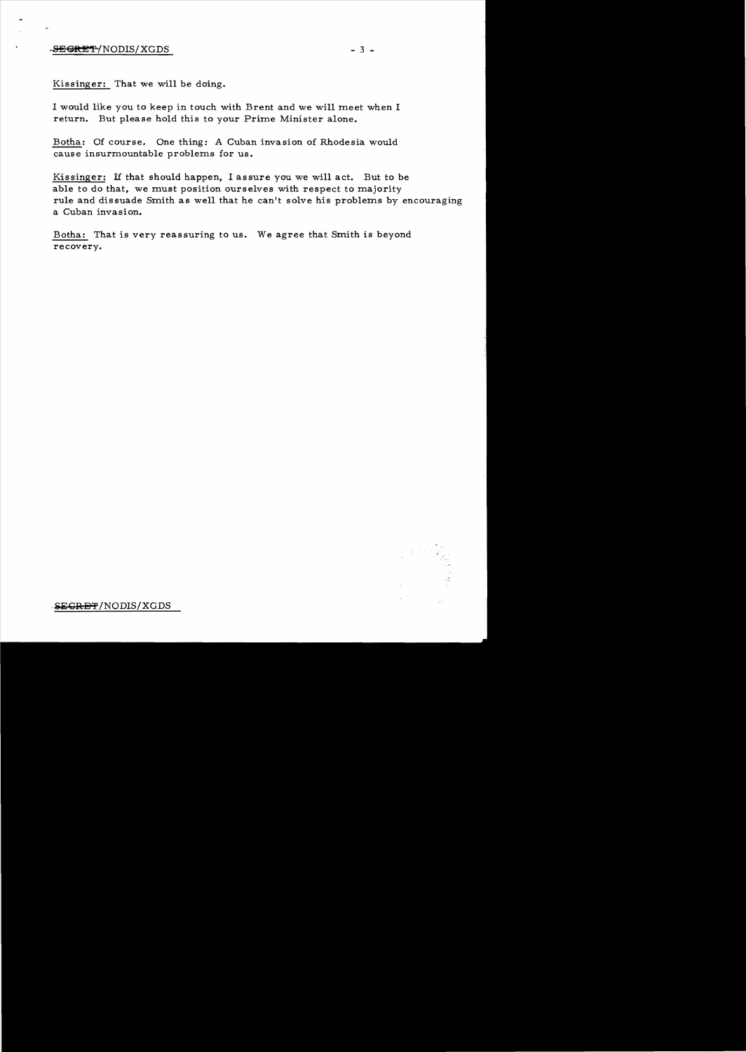## $-$ <del>SECRET</del>/NODIS/XGDS - 3 -

Kissinger: That we will be doing.

I would like you to keep in touch with Brent and we will meet when I return. But please hold this to your Prime Minister alone.

Botha: Of course. One thing: A Cuban invasion of Rhodesia would cause insurmountable problems for us.

Kissinger: If that should happen, I assure you we will act. But to be able to do that, we must position ourselves with respect to majority rule and dissuade Smith as well that he can't solve his problems by encouraging a Cuban invasion.

Botha: That is very reassuring to us. We agree that Smith is beyond recovery.



 $SEGREF/NODIS/XGDS$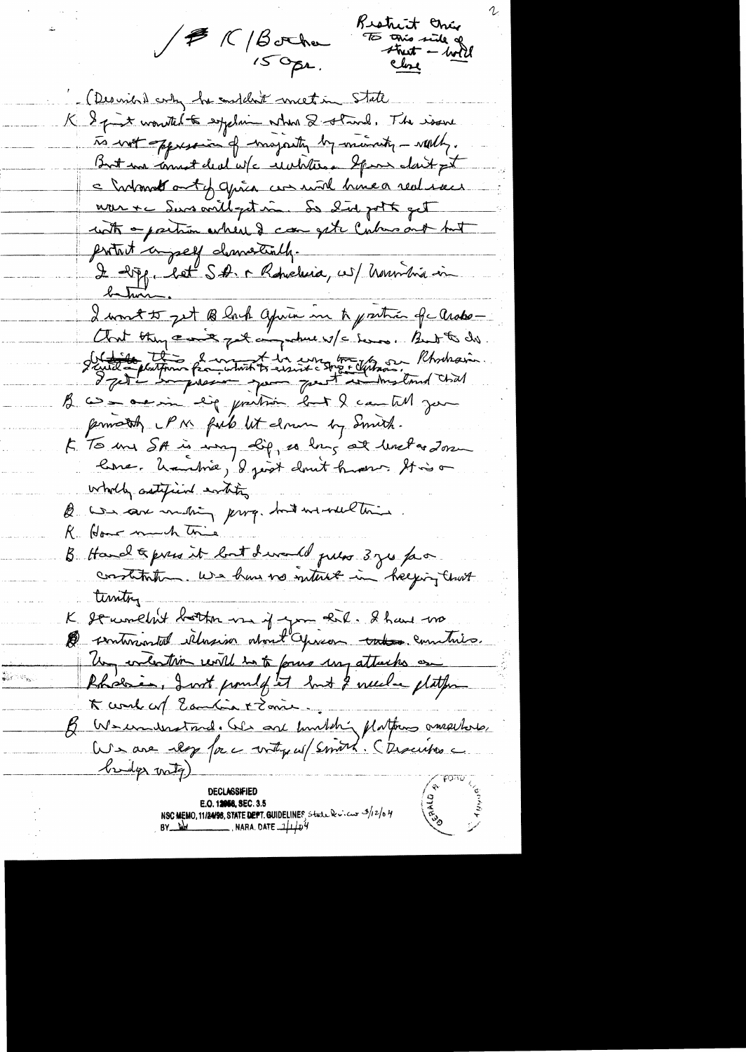Restrict crier JER/Bother TO this side of Close (Desired coly be enddled meeting State K & pint wonted to explain when 2 stand. The issue To writ appression of majority by minuter - worthy. But we cannot deal w/c includion Spon dait pt a holand out y grâce can more home a realiser nour +c Sins anill-petine So did pott get with a partion where I can get cubers out but protect compet democially. I 20pp, let SA. r Roberleia, est honoritis in I wont to get Black après me te pretrée qu Arabo-And they can't get anywhere if a love. But to do Sint de plutin française de messieur détaille l'hondrain. B com acerin lig previous but I can till jun primately PM field lit drawn by Smith. 5. To me SA in my life, as long at levelar down line. Unutrie, I joist dont humor Stis on wholly autified entity B was save muching parge but we well this R. Home much trie B Hand & press it but devand press 3 ges favor. constitution. We have no interest in helping that timtry. K serumetrit bottom use if you that. I have no De sentimental illagion about Opinion takes comitato. Un evention will into four un attaches on Rhoesie, I wit point ft but I weeke platfor K comb cof Eautin + Zonie B Wernausstand. We are kunkting platforms omegetors, We are les force votre et (smort. Chronine bridge writer) **DECLASSIFIED** E.O. 12058, SEC. 3.5 NSC MEMO, 11/24/98, STATE DEPT. GUIDELINES, State & views 3/12/04<br>BY WH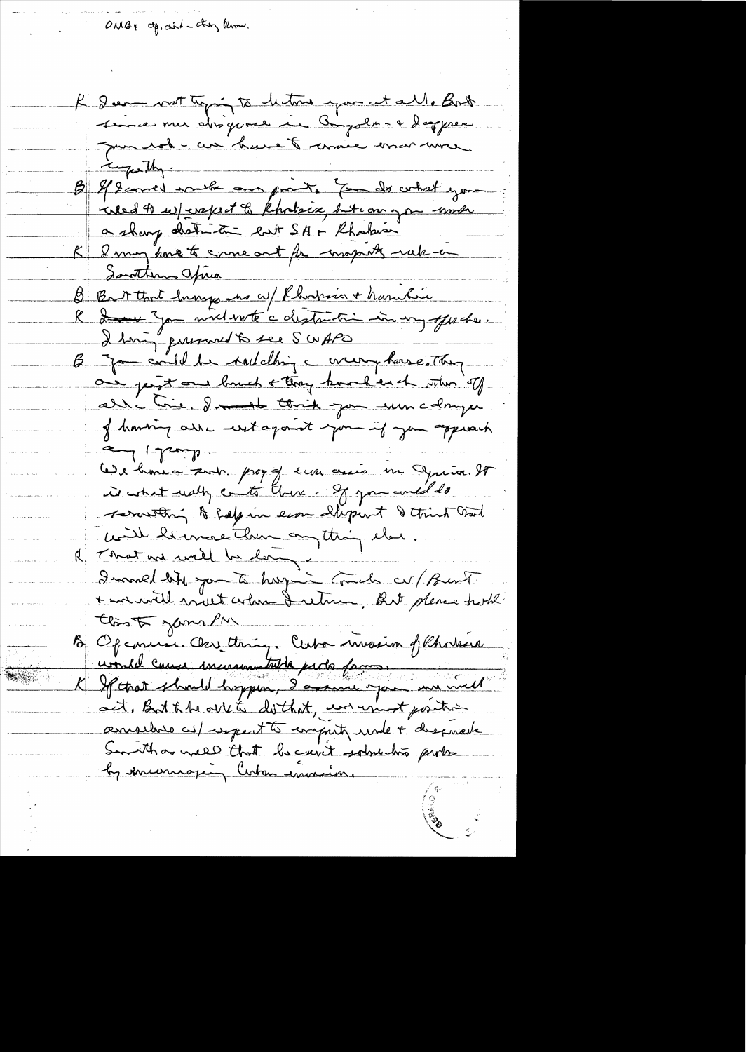ONBY agraint they limous.

 $\mathbb{Z} \times \mathbb{Z}$ 

K deem not topin to leton you at all. Both since mu disguese in Gigolo-4 daggere mon rod - cur havet comme vous avec B & geomed with one prints for de what you weed to we expect to kholsex hit on you work a sharp abstraction ent SA + Rhabin K 2 maj houre te enneant for majorits rule in Southern aprica B Bart that hungs no w/ Rhodria + haritie R dans you mil voté a distrition in voy offerate. B Jam could be taileding a creery house. They are jest our banch + they knocked the stam of alli Crie. In think you were comper of homing all witagant you if you appear dint, London Lede bronc a surt. prog of ever assis in Juia. It is what wally conto there. If you will do servitori & salpin eine ellepunt & think that with hermore than anything that. R That an will be long -I mored like you to hay in Comedo av / Bust + maiville avant colone de retire, But please troth this of your PM B Opennie Our thing. Cuba invasion of Rhodric uould cause incurrentable parts faces. act, But the out to do that, we won't position considers as repeat to compute under chapmare Smith a need that because some two ports by encouraging Cuban emain.